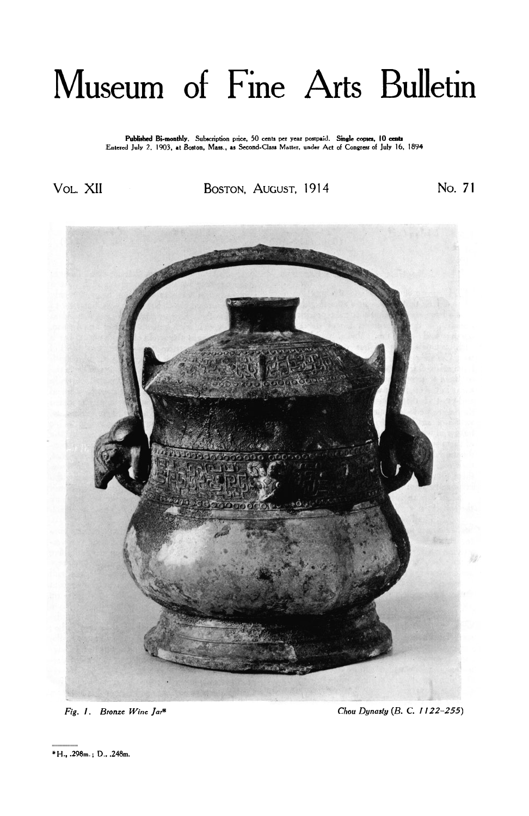## Museum of Fine Arts Bulletin

Published Bi-monthly. Subscription price, 50 cents per year postpaid. Single copies, 10 cents<br>Entered July 2, 1903, at Boston, Mass., as Second-Class Matter, under Act of Congress of July 16, 1894

Vol. XII BOSTON, **AUGUST,** 1914 No. **<sup>71</sup>**



*Fig. 1. Bronze Wine Jar\* Chou Dynasty* (B.C. 1122-255)

\* **H., .298m.** ; **D., .248m.**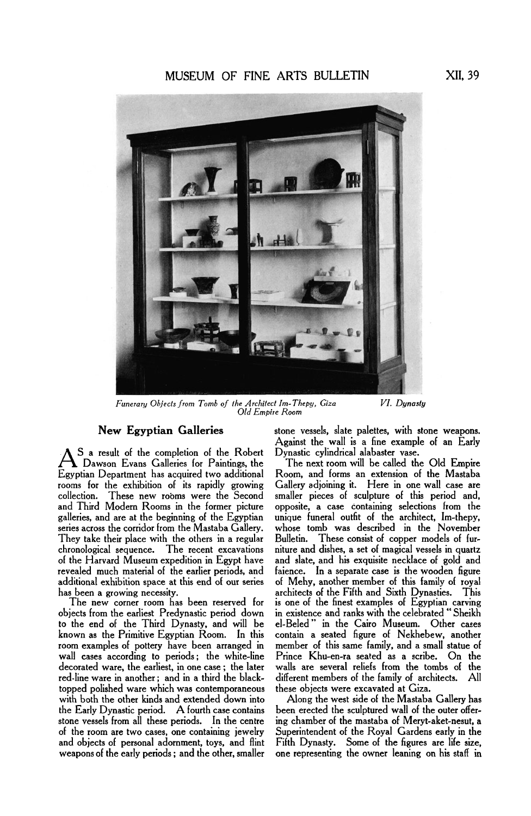## **MUSEUM** OF FINE ARTS BULLETIN **XII, 39**



*Funerary Objects from Tomb of the Architect Im-Thepy, Giza VI. Dynasty Old Empire Room* 

As a result of the completion of the Robert Dynastic cylindrical alabaster vase.<br>A Dawson Evans Galleries for Paintings, the The next room will be called the Old Empire<br>Egyptian Department has acquired two additional Room, Dawson Evans Galleries for Paintings, the rooms for the exhibition of its rapidly growing collection. These new rooms were the Second and Third Modern Rooms in the former picture galleries, and are at the beginning of the Egyptian galleries, and are at the beginning of the Egyptian unique funeral outfit of the architect, Im-thepy, series across the corridor from the Mastaba Gallery. whose tomb was described in the November They take their place with the others in a regular Bulletin. These consist of copper models of furchronological sequence. The recent excavations niture and dishes, a set of magical vessels in quartz chronological sequence. The recent excavations inture and dishes, a set of magical vessels in quartz<br>of the Harvard Museum expedition in Egypt have and slate, and his exquisite necklace of gold and revealed much material of the earlier periods, and faience. In a separate case is the wooden figure additional exhibition space at this end of our series of Mehy, another member of this family of royal

The new corner room has been reserved for objects from the earliest Predynastic period down objects from the earliest Predynastic period down in existence and ranks with the celebrated " Sheikh to the end of the Third Dynasty, and will be el-Beled" in the Cairo Museum. Other cases room examples of pottery have been arranged in member of this same family, and a small statue of wall cases according to periods; the white-line decorated ware, the earliest, in one case; the later decorated ware, the earliest, in one case ; the later walls are several reliefs from the tombs of the topped polished ware which was contemporaneous these objects were excavated at Giza. with both the other kinds and extended down into the Early Dynastic period. **A** fourth case contains been erected the sculptured wall of the outer offerstone vessels from all these periods. In the centre ing chamber of the mastaba of Meryt-aket-nesut, a of the room are two cases, one containing jewelry Superintendent of the Royal Gardens early in the and objects of personal adornment, toys, and flint Fifth Dynasty. Some of the figures are life size, weapons of the early periods ; and the other, smaller one representing the owner leaning on his staff in

New Egyptian Galleries stone vessels, slate palettes, with stone weapons. Against the wall is a fine example of an Early

Room, and forms an extension of the Mastaba<br>Gallery adjoining it. Here in one wall case are smaller pieces of sculpture of this period and, opposite, a case containing selections from the has been a growing necessity.<br>The new corner room has been reserved for is one of the finest examples of Egyptian carving contain a seated figure of Nekhebew, another<br>member of this same family, and a small statue of different members of the family of architects. All these objects were excavated at Giza.